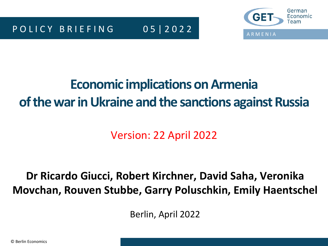

# **Economic implications onArmenia of the war in Ukraine and the sanctions against Russia**

Version: 22 April 2022

## **Dr Ricardo Giucci, Robert Kirchner, David Saha, Veronika Movchan, Rouven Stubbe, Garry Poluschkin, Emily Haentschel**

Berlin, April 2022

© Berlin Economics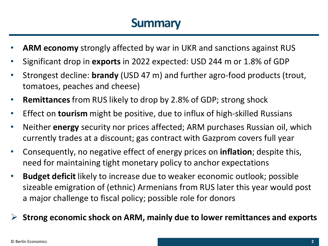## **Summary**

- **ARM economy** strongly affected by war in UKR and sanctions against RUS
- Significant drop in **exports** in 2022 expected: USD 244 m or 1.8% of GDP
- Strongest decline: **brandy** (USD 47 m) and further agro-food products (trout, tomatoes, peaches and cheese)
- **Remittances** from RUS likely to drop by 2.8% of GDP; strong shock
- Effect on **tourism** might be positive, due to influx of high-skilled Russians
- Neither **energy** security nor prices affected; ARM purchases Russian oil, which currently trades at a discount; gas contract with Gazprom covers full year
- Consequently, no negative effect of energy prices on **inflation**; despite this, need for maintaining tight monetary policy to anchor expectations
- **Budget deficit** likely to increase due to weaker economic outlook; possible sizeable emigration of (ethnic) Armenians from RUS later this year would post a major challenge to fiscal policy; possible role for donors

## ➢ **Strong economic shock on ARM, mainly due to lower remittances and exports**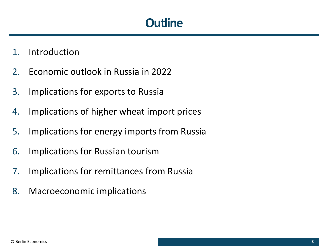## **Outline**

- 1. Introduction
- 2. Economic outlook in Russia in 2022
- 3. Implications for exports to Russia
- 4. Implications of higher wheat import prices
- 5. Implications for energy imports from Russia
- 6. Implications for Russian tourism
- 7. Implications for remittances from Russia
- 8. Macroeconomic implications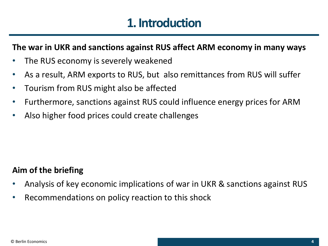## **1. Introduction**

### **The war in UKR and sanctions against RUS affect ARM economy in many ways**

- The RUS economy is severely weakened
- As a result, ARM exports to RUS, but also remittances from RUS will suffer
- Tourism from RUS might also be affected
- Furthermore, sanctions against RUS could influence energy prices for ARM
- Also higher food prices could create challenges

## **Aim of the briefing**

- Analysis of key economic implications of war in UKR & sanctions against RUS
- Recommendations on policy reaction to this shock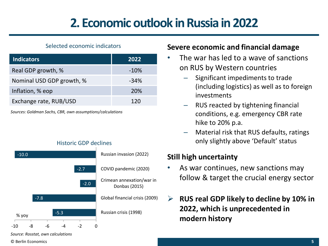# **2. Economic outlook in Russia in 2022**

#### Selected economic indicators

| <b>Indicators</b>         | 2022   |
|---------------------------|--------|
| Real GDP growth, %        | $-10%$ |
| Nominal USD GDP growth, % | $-34%$ |
| Inflation, % eop          | 20%    |
| Exchange rate, RUB/USD    | 120    |

*Sources: Goldman Sachs, CBR, own assumptions/calculations*

© Berlin Economics

#### Historic GDP declines



### **Severe economic and financial damage**

- The war has led to a wave of sanctions on RUS by Western countries
	- Significant impediments to trade (including logistics) as well as to foreign investments
	- RUS reacted by tightening financial conditions, e.g. emergency CBR rate hike to 20% p.a.
	- Material risk that RUS defaults, ratings only slightly above 'Default' status

### **Still high uncertainty**

- As war continues, new sanctions may follow & target the crucial energy sector
- ➢ **RUS real GDP likely to decline by 10% in 2022, which is unprecedented in modern history**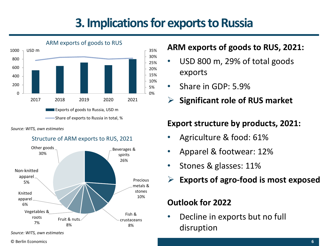## **3. Implications for exports to Russia**



*Source: WITS, own estimates*

#### Structure of ARM exports to RUS, 2021



### **ARM exports of goods to RUS, 2021:**

- USD 800 m, 29% of total goods exports
- Share in GDP: 5.9%
	- ➢ **Significant role of RUS market**

### **Export structure by products, 2021:**

- Agriculture & food: 61%
- Apparel & footwear: 12%
- Stones & glasses: 11%
- ➢ **Exports of agro-food is most exposed**

## **Outlook for 2022**

• Decline in exports but no full disruption

*Source: WITS, own estimates*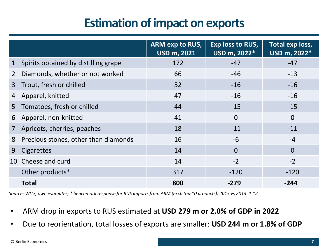## **Estimation of impact on exports**

|                       |                                      | <b>ARM exp to RUS,</b><br><b>USD m, 2021</b> | Exp loss to RUS,<br>USD m, 2022* | Total exp loss,<br>USD m, 2022* |
|-----------------------|--------------------------------------|----------------------------------------------|----------------------------------|---------------------------------|
| $1\overline{ }$       | Spirits obtained by distilling grape | 172                                          | $-47$                            | $-47$                           |
| $\mathbf{2}^{\prime}$ | Diamonds, whether or not worked      | 66                                           | $-46$                            | $-13$                           |
| 3 <sup>1</sup>        | Trout, fresh or chilled              | 52                                           | $-16$                            | $-16$                           |
| 4                     | Apparel, knitted                     | 47                                           | $-16$                            | $-16$                           |
|                       | 5 Tomatoes, fresh or chilled         | 44                                           | $-15$                            | $-15$                           |
| 6                     | Apparel, non-knitted                 | 41                                           | $\Omega$                         | $\overline{0}$                  |
| 7 <sup>1</sup>        | Apricots, cherries, peaches          | 18                                           | $-11$                            | $-11$                           |
| 8                     | Precious stones, other than diamonds | 16                                           | $-6$                             | $-4$                            |
| 9                     | Cigarettes                           | 14                                           | $\Omega$                         | $\Omega$                        |
|                       | 10 Cheese and curd                   | 14                                           | $-2$                             | $-2$                            |
|                       | Other products*                      | 317                                          | $-120$                           | $-120$                          |
|                       | <b>Total</b>                         | 800                                          | $-279$                           | $-244$                          |

*Source: WITS, own estimates; \* benchmark response for RUS imports from ARM (excl. top-10 products), 2015 vs 2013: 1.12*

- ARM drop in exports to RUS estimated at **USD 279 m or 2.0% of GDP in 2022**
- Due to reorientation, total losses of exports are smaller: **USD 244 m or 1.8% of GDP**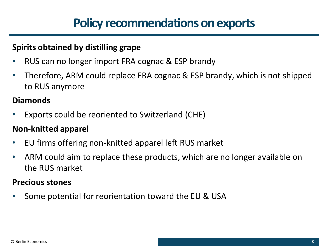### **Spirits obtained by distilling grape**

- RUS can no longer import FRA cognac & ESP brandy
- Therefore, ARM could replace FRA cognac & ESP brandy, which is not shipped to RUS anymore

## **Diamonds**

• Exports could be reoriented to Switzerland (CHE)

## **Non-knitted apparel**

- EU firms offering non-knitted apparel left RUS market
- ARM could aim to replace these products, which are no longer available on the RUS market

## **Precious stones**

• Some potential for reorientation toward the EU & USA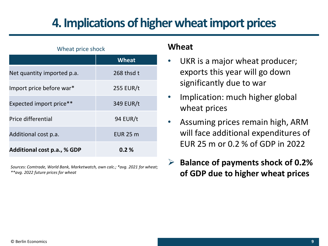# **4. Implications of higher wheat import prices**

## Wheat price shock **Wheat** Net quantity imported p.a. 268 thsd t Import price before war\* 255 EUR/t Expected import price\*\* 349 EUR/t Price differential 94 EUR/t Additional cost p.a. **EUR 25 m Additional cost p.a., % GDP 0.2 %**

*Sources: Comtrade, World Bank, Marketwatch, own calc.; \*avg. 2021 for wheat; \*\*avg. 2022 future prices for wheat*

### **Wheat**

- UKR is a major wheat producer; exports this year will go down significantly due to war
- Implication: much higher global wheat prices
- Assuming prices remain high, ARM will face additional expenditures of EUR 25 m or 0.2 % of GDP in 2022
- ➢ **Balance of payments shock of 0.2% of GDP due to higher wheat prices**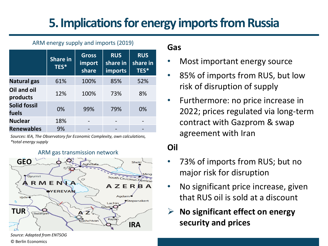# **5. Implications for energy imports from Russia**

#### ARM energy supply and imports (2019)

|                              | <b>Share in</b><br>TES* | <b>Gross</b><br>import<br>share | <b>RUS</b><br>share in<br><b>imports</b> | <b>RUS</b><br>share in<br>TES* |
|------------------------------|-------------------------|---------------------------------|------------------------------------------|--------------------------------|
| <b>Natural gas</b>           | 61%                     | 100%                            | 85%                                      | 52%                            |
| Oil and oil<br>products      | 12%                     | 100%                            | 73%                                      | 8%                             |
| <b>Solid fossil</b><br>fuels | 0%                      | 99%                             | 79%                                      | 0%                             |
| <b>Nuclear</b>               | 18%                     |                                 |                                          |                                |
| <b>Renewables</b>            | 9%                      |                                 |                                          |                                |

*Sources: IEA, The Observatory for Economic Complexity, own calculations, \*total energy supply*



#### ARM gas transmission network

### **Gas**

- Most important energy source
- 85% of imports from RUS, but low risk of disruption of supply
- Furthermore: no price increase in 2022; prices regulated via long-term contract with Gazprom & swap agreement with Iran

## **Oil**

- 73% of imports from RUS; but no major risk for disruption
- No significant price increase, given that RUS oil is sold at a discount
- ➢ **No significant effect on energy security and prices**

© Berlin Economics *Source: Adapted from ENTSOG*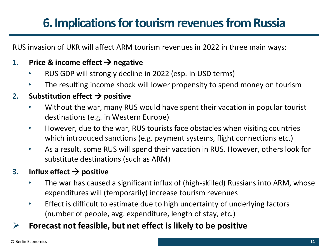# **6. Implications for tourism revenues from Russia**

RUS invasion of UKR will affect ARM tourism revenues in 2022 in three main ways:

### **1. Price & income effect** → **negative**

- RUS GDP will strongly decline in 2022 (esp. in USD terms)
- The resulting income shock will lower propensity to spend money on tourism

### **2.** Substitution effect  $\rightarrow$  positive

- Without the war, many RUS would have spent their vacation in popular tourist destinations (e.g. in Western Europe)
- However, due to the war, RUS tourists face obstacles when visiting countries which introduced sanctions (e.g. payment systems, flight connections etc.)
- As a result, some RUS will spend their vacation in RUS. However, others look for substitute destinations (such as ARM)

### **3. Influx effect** → **positive**

- The war has caused a significant influx of (high-skilled) Russians into ARM, whose expenditures will (temporarily) increase tourism revenues
- Effect is difficult to estimate due to high uncertainty of underlying factors (number of people, avg. expenditure, length of stay, etc.)
- ➢ **Forecast not feasible, but net effect is likely to be positive**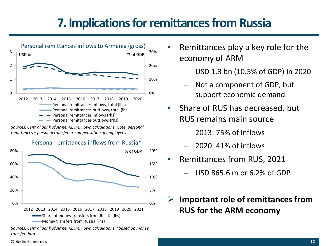# **7. Implications for remittances from Russia**



*Sources: Central Bank of Armenia, IMF, own calculations; Note: personal remittances = personal transfers + compensation of employees*

#### Personal remittances inflows from Russia\*



*Sources: Central Bank of Armenia, IMF, own calculations, \*based on money transfer data*

- Remittances play a key role for the economy of ARM
	- USD 1.3 bn (10.5% of GDP) in 2020
	- Not a component of GDP, but support economic demand
- Share of RUS has decreased, but RUS remains main source
	- 2013: 75% of inflows
	- 2020: 41% of inflows
- Remittances from RUS, 2021
	- USD 865.6 m or 6.2% of GDP
- ➢ **Important role of remittances from RUS for the ARM economy**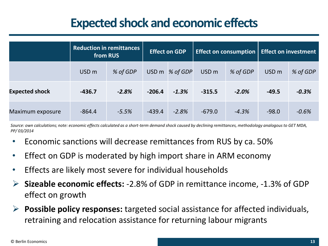## **Expected shock and economic effects**

|                       | <b>Reduction in remittances</b><br>from RUS |          | <b>Effect on GDP</b> |          | <b>Effect on consumption</b> |          | <b>Effect on investment</b> |          |
|-----------------------|---------------------------------------------|----------|----------------------|----------|------------------------------|----------|-----------------------------|----------|
|                       | USD <sub>m</sub>                            | % of GDP | USD <sub>m</sub>     | % of GDP | USD <sub>m</sub>             | % of GDP | USD <sub>m</sub>            | % of GDP |
| <b>Expected shock</b> | $-436.7$                                    | $-2.8%$  | $-206.4$             | $-1.3%$  | $-315.5$                     | $-2.0%$  | $-49.5$                     | $-0.3%$  |
| Maximum exposure      | $-864.4$                                    | $-5.5%$  | $-439.4$             | $-2.8%$  | $-679.0$                     | $-4.3%$  | $-98.0$                     | $-0.6%$  |

*Source: own calculations; note: economic effects calculated as a short-term demand shock caused by declining remittances, methodology analogous to GET MDA, PP/ 03/2014*

- Economic sanctions will decrease remittances from RUS by ca. 50%
- Effect on GDP is moderated by high import share in ARM economy
- Effects are likely most severe for individual households
- ➢ **Sizeable economic effects:** -2.8% of GDP in remittance income, -1.3% of GDP effect on growth
- ➢ **Possible policy responses:** targeted social assistance for affected individuals, retraining and relocation assistance for returning labour migrants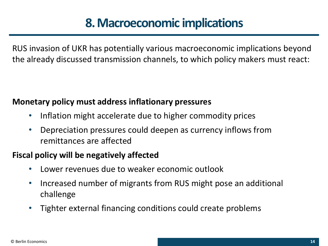# **8. Macroeconomic implications**

RUS invasion of UKR has potentially various macroeconomic implications beyond the already discussed transmission channels, to which policy makers must react:

## **Monetary policy must address inflationary pressures**

- Inflation might accelerate due to higher commodity prices
- Depreciation pressures could deepen as currency inflows from remittances are affected

## **Fiscal policy will be negatively affected**

- Lower revenues due to weaker economic outlook
- Increased number of migrants from RUS might pose an additional challenge
- Tighter external financing conditions could create problems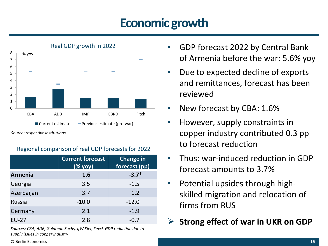# **Economic growth**



*Source: respective institutions*

### Regional comparison of real GDP forecasts for 2022

|                | <b>Current forecast</b><br>( % you) | <b>Change in</b><br>forecast (pp) |
|----------------|-------------------------------------|-----------------------------------|
| <b>Armenia</b> | 1.6                                 | $-3.7*$                           |
| Georgia        | 3.5                                 | $-1.5$                            |
| Azerbaijan     | 3.7                                 | 1.2                               |
| Russia         | $-10.0$                             | $-12.0$                           |
| Germany        | 2.1                                 | $-1.9$                            |
| $EU-27$        | 2.8                                 | $-0.7$                            |

*Sources: CBA, ADB, Goldman Sachs, IfW Kiel; \*excl. GDP reduction due to supply issues in copper industry*

- GDP forecast 2022 by Central Bank of Armenia before the war: 5.6% yoy
- Due to expected decline of exports and remittances, forecast has been reviewed
- New forecast by CBA: 1.6%
- However, supply constraints in copper industry contributed 0.3 pp to forecast reduction
- Thus: war-induced reduction in GDP forecast amounts to 3.7%
- Potential upsides through highskilled migration and relocation of firms from RUS
	- ➢ **Strong effect of war in UKR on GDP**

© Berlin Economics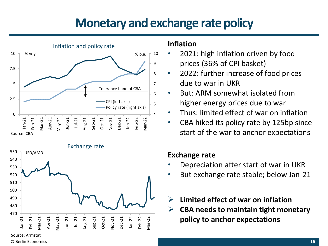## **Monetary and exchange rate policy**



Exchange rate 470 480 490 500 510 520 530 540 550 Jan-21 Feb-21 Mar-21 Apr-21 May-21 Jun-21 Jul-21 Aug-21 Sep-21 Oct-21 Nov-21 Dec-21 Jan-22 Feb-22 Mar-22 USD/AMD

#### Source: Armstat

© Berlin Economics

### **Inflation**

- 2021: high inflation driven by food prices (36% of CPI basket)
- 2022: further increase of food prices due to war in UKR
- But: ARM somewhat isolated from higher energy prices due to war
- Thus: limited effect of war on inflation
- CBA hiked its policy rate by 125bp since start of the war to anchor expectations

### **Exchange rate**

- Depreciation after start of war in UKR
- But exchange rate stable; below Jan-21
- ➢ **Limited effect of war on inflation**
- ➢ **CBA needs to maintain tight monetary policy to anchor expectations**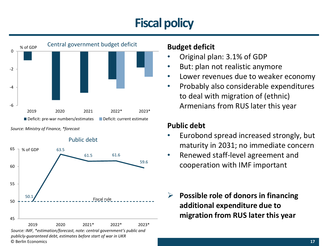# **Fiscal policy**



*Source: Ministry of Finance, \*forecast*



### **Budget deficit**

- Original plan: 3.1% of GDP
- But: plan not realistic anymore
- Lower revenues due to weaker economy
- Probably also considerable expenditures to deal with migration of (ethnic) Armenians from RUS later this year

## **Public debt**

- Eurobond spread increased strongly, but maturity in 2031; no immediate concern
- Renewed staff-level agreement and cooperation with IMF important
- ➢ **Possible role of donors in financing additional expenditure due to migration from RUS later this year**